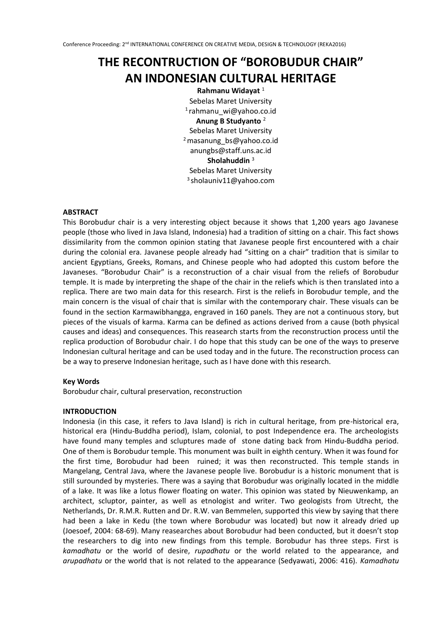# **THE RECONTRUCTION OF "BOROBUDUR CHAIR" AN INDONESIAN CULTURAL HERITAGE**

**Rahmanu Widayat** <sup>1</sup> Sebelas Maret University 1 rahmanu\_wi@yahoo.co.id **Anung B Studyanto** <sup>2</sup> Sebelas Maret University <sup>2</sup>masanung\_bs@yahoo.co.id anungbs@staff.uns.ac.id **Sholahuddin** <sup>3</sup> Sebelas Maret University 3 sholauniv11@yahoo.com

## **ABSTRACT**

This Borobudur chair is a very interesting object because it shows that 1,200 years ago Javanese people (those who lived in Java Island, Indonesia) had a tradition of sitting on a chair. This fact shows dissimilarity from the common opinion stating that Javanese people first encountered with a chair during the colonial era. Javanese people already had "sitting on a chair" tradition that is similar to ancient Egyptians, Greeks, Romans, and Chinese people who had adopted this custom before the Javaneses. "Borobudur Chair" is a reconstruction of a chair visual from the reliefs of Borobudur temple. It is made by interpreting the shape of the chair in the reliefs which is then translated into a replica. There are two main data for this research. First is the reliefs in Borobudur temple, and the main concern is the visual of chair that is similar with the contemporary chair. These visuals can be found in the section Karmawibhangga, engraved in 160 panels. They are not a continuous story, but pieces of the visuals of karma. Karma can be defined as actions derived from a cause (both physical causes and ideas) and consequences. This reasearch starts from the reconstruction process until the replica production of Borobudur chair. I do hope that this study can be one of the ways to preserve Indonesian cultural heritage and can be used today and in the future. The reconstruction process can be a way to preserve Indonesian heritage, such as I have done with this research.

#### **Key Words**

Borobudur chair, cultural preservation, reconstruction

#### **INTRODUCTION**

Indonesia (in this case, it refers to Java Island) is rich in cultural heritage, from pre-historical era, historical era (Hindu-Buddha period), Islam, colonial, to post Independence era. The archeologists have found many temples and scluptures made of stone dating back from Hindu-Buddha period. One of them is Borobudur temple. This monument was built in eighth century. When it was found for the first time, Borobudur had been ruined; it was then reconstructed. This temple stands in Mangelang, Central Java, where the Javanese people live. Borobudur is a historic monument that is still surounded by mysteries. There was a saying that Borobudur was originally located in the middle of a lake. It was like a lotus flower floating on water. This opinion was stated by Nieuwenkamp, an architect, scluptor, painter, as well as etnologist and writer. Two geologists from Utrecht, the Netherlands, Dr. R.M.R. Rutten and Dr. R.W. van Bemmelen, supported this view by saying that there had been a lake in Kedu (the town where Borobudur was located) but now it already dried up (Joesoef, 2004: 68-69). Many reasearches about Borobudur had been conducted, but it doesn't stop the researchers to dig into new findings from this temple. Borobudur has three steps. First is *kamadhatu* or the world of desire, *rupadhatu* or the world related to the appearance, and *arupadhatu* or the world that is not related to the appearance (Sedyawati, 2006: 416). *Kamadhatu*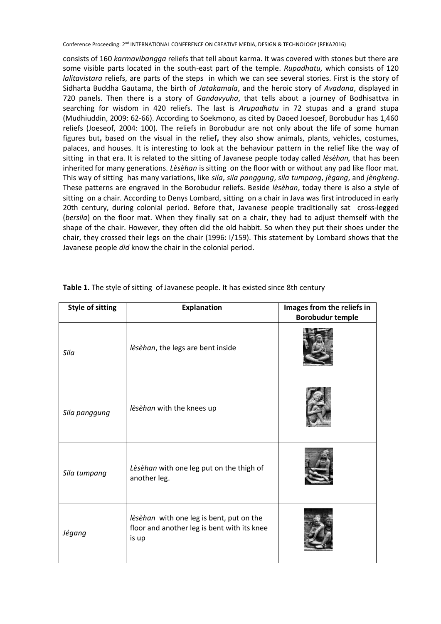Conference Proceeding: 2<sup>nd</sup> INTERNATIONAL CONFERENCE ON CREATIVE MEDIA, DESIGN & TECHNOLOGY (REKA2016)

consists of 160 *karmavibangga* reliefs that tell about karma. It was covered with stones but there are some visible parts located in the south-east part of the temple. *Rupadhatu,* which consists of 120 *lalitavistara* reliefs, are parts of the steps in which we can see several stories. First is the story of Sidharta Buddha Gautama, the birth of *Jatakamala*, and the heroic story of *Avadana*, displayed in 720 panels. Then there is a story of *Gandavyuha*, that tells about a journey of Bodhisattva in searching for wisdom in 420 reliefs. The last is *Arupadhatu* in 72 stupas and a grand stupa (Mudhiuddin, 2009: 62-66). According to Soekmono, as cited by Daoed Joesoef, Borobudur has 1,460 reliefs (Joeseof, 2004: 100). The reliefs in Borobudur are not only about the life of some human figures but**,** based on the visual in the relief**,** they also show animals, plants, vehicles, costumes, palaces, and houses. It is interesting to look at the behaviour pattern in the relief like the way of sitting in that era. It is related to the sitting of Javanese people today called *lèsèhan,* that has been inherited for many generations. *Lèsèhan* is sitting on the floor with or without any pad like floor mat. This way of sitting has many variations, like *sila*, *sila panggung*, *sila tumpang*, *jègang*, and *jèngkeng*. These patterns are engraved in the Borobudur reliefs. Beside *lèsèhan*, today there is also a style of sitting on a chair. According to Denys Lombard, sitting on a chair in Java was first introduced in early 20th century, during colonial period. Before that, Javanese people traditionally sat cross-legged (*bersila*) on the floor mat. When they finally sat on a chair, they had to adjust themself with the shape of the chair. However, they often did the old habbit. So when they put their shoes under the chair, they crossed their legs on the chair (1996: I/159). This statement by Lombard shows that the Javanese people *did* know the chair in the colonial period.

| <b>Style of sitting</b> | <b>Explanation</b>                                                                               | Images from the reliefs in<br><b>Borobudur temple</b> |
|-------------------------|--------------------------------------------------------------------------------------------------|-------------------------------------------------------|
| Sila                    | lèsèhan, the legs are bent inside                                                                |                                                       |
| Sila panggung           | lèsèhan with the knees up                                                                        |                                                       |
| Sila tumpang            | Lèsèhan with one leg put on the thigh of<br>another leg.                                         |                                                       |
| Jégang                  | lèsèhan with one leg is bent, put on the<br>floor and another leg is bent with its knee<br>is up |                                                       |

| Table 1. The style of sitting of Javanese people. It has existed since 8th century |  |  |  |
|------------------------------------------------------------------------------------|--|--|--|
|------------------------------------------------------------------------------------|--|--|--|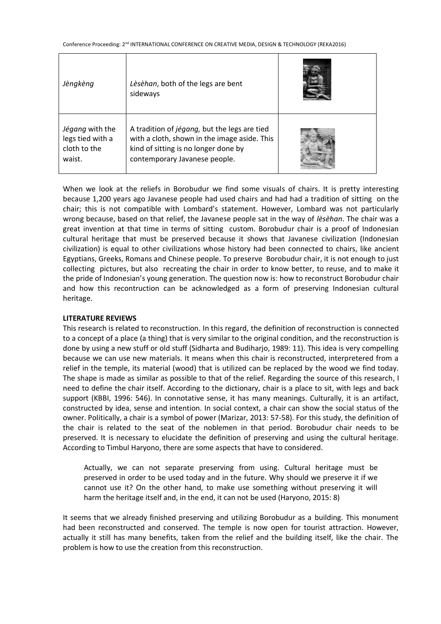| Jèngkèng                                                      | Lèsèhan, both of the legs are bent<br>sideways                                                                                                                        |  |
|---------------------------------------------------------------|-----------------------------------------------------------------------------------------------------------------------------------------------------------------------|--|
| Jégang with the<br>legs tied with a<br>cloth to the<br>waist. | A tradition of jégang, but the legs are tied<br>with a cloth, shown in the image aside. This<br>kind of sitting is no longer done by<br>contemporary Javanese people. |  |

When we look at the reliefs in Borobudur we find some visuals of chairs. It is pretty interesting because 1,200 years ago Javanese people had used chairs and had had a tradition of sitting on the chair; this is not compatible with Lombard's statement. However, Lombard was not particularly wrong because, based on that relief, the Javanese people sat in the way of *lèsèhan*. The chair was a great invention at that time in terms of sitting custom. Borobudur chair is a proof of Indonesian cultural heritage that must be preserved because it shows that Javanese civilization (Indonesian civilization) is equal to other civilizations whose history had been connected to chairs, like ancient Egyptians, Greeks, Romans and Chinese people. To preserve Borobudur chair, it is not enough to just collecting pictures, but also recreating the chair in order to know better, to reuse, and to make it the pride of Indonesian's young generation. The question now is: how to reconstruct Borobudur chair and how this recontruction can be acknowledged as a form of preserving Indonesian cultural heritage.

#### **LITERATURE REVIEWS**

This research is related to reconstruction. In this regard, the definition of reconstruction is connected to a concept of a place (a thing) that is very similar to the original condition, and the reconstruction is done by using a new stuff or old stuff (Sidharta and Budiharjo, 1989: 11). This idea is very compelling because we can use new materials. It means when this chair is reconstructed, interpretered from a relief in the temple, its material (wood) that is utilized can be replaced by the wood we find today. The shape is made as similar as possible to that of the relief. Regarding the source of this research, I need to define the chair itself. According to the dictionary, chair is a place to sit, with legs and back support (KBBI, 1996: 546). In connotative sense, it has many meanings. Culturally, it is an artifact, constructed by idea, sense and intention. In social context, a chair can show the social status of the owner. Politically, a chair is a symbol of power (Marizar, 2013: 57-58). For this study, the definition of the chair is related to the seat of the noblemen in that period. Borobudur chair needs to be preserved. It is necessary to elucidate the definition of preserving and using the cultural heritage. According to Timbul Haryono, there are some aspects that have to considered.

Actually, we can not separate preserving from using. Cultural heritage must be preserved in order to be used today and in the future. Why should we preserve it if we cannot use it? On the other hand, to make use something without preserving it will harm the heritage itself and, in the end, it can not be used (Haryono, 2015: 8)

It seems that we already finished preserving and utilizing Borobudur as a building. This monument had been reconstructed and conserved. The temple is now open for tourist attraction. However, actually it still has many benefits, taken from the relief and the building itself, like the chair. The problem is how to use the creation from this reconstruction.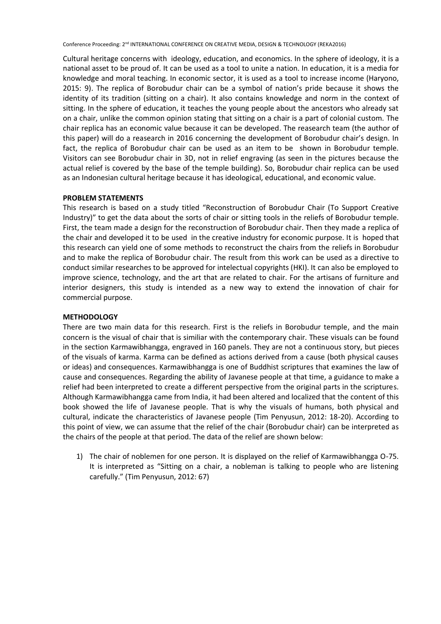Conference Proceeding: 2<sup>nd</sup> INTERNATIONAL CONFERENCE ON CREATIVE MEDIA, DESIGN & TECHNOLOGY (REKA2016)

Cultural heritage concerns with ideology, education, and economics. In the sphere of ideology, it is a national asset to be proud of. It can be used as a tool to unite a nation. In education, it is a media for knowledge and moral teaching. In economic sector, it is used as a tool to increase income (Haryono, 2015: 9). The replica of Borobudur chair can be a symbol of nation's pride because it shows the identity of its tradition (sitting on a chair). It also contains knowledge and norm in the context of sitting. In the sphere of education, it teaches the young people about the ancestors who already sat on a chair, unlike the common opinion stating that sitting on a chair is a part of colonial custom. The chair replica has an economic value because it can be developed. The reasearch team (the author of this paper) will do a reasearch in 2016 concerning the development of Borobudur chair's design. In fact, the replica of Borobudur chair can be used as an item to be shown in Borobudur temple. Visitors can see Borobudur chair in 3D, not in relief engraving (as seen in the pictures because the actual relief is covered by the base of the temple building). So, Borobudur chair replica can be used as an Indonesian cultural heritage because it has ideological, educational, and economic value.

#### **PROBLEM STATEMENTS**

This research is based on a study titled "Reconstruction of Borobudur Chair (To Support Creative Industry)" to get the data about the sorts of chair or sitting tools in the reliefs of Borobudur temple. First, the team made a design for the reconstruction of Borobudur chair. Then they made a replica of the chair and developed it to be used in the creative industry for economic purpose. It is hoped that this research can yield one of some methods to reconstruct the chairs from the reliefs in Borobudur and to make the replica of Borobudur chair. The result from this work can be used as a directive to conduct similar researches to be approved for intelectual copyrights (HKI). It can also be employed to improve science, technology, and the art that are related to chair. For the artisans of furniture and interior designers, this study is intended as a new way to extend the innovation of chair for commercial purpose.

#### **METHODOLOGY**

There are two main data for this research. First is the reliefs in Borobudur temple, and the main concern is the visual of chair that is similiar with the contemporary chair. These visuals can be found in the section Karmawibhangga, engraved in 160 panels. They are not a continuous story, but pieces of the visuals of karma. Karma can be defined as actions derived from a cause (both physical causes or ideas) and consequences. Karmawibhangga is one of Buddhist scriptures that examines the law of cause and consequences. Regarding the ability of Javanese people at that time, a guidance to make a relief had been interpreted to create a different perspective from the original parts in the scriptures. Although Karmawibhangga came from India, it had been altered and localized that the content of this book showed the life of Javanese people. That is why the visuals of humans, both physical and cultural, indicate the characteristics of Javanese people (Tim Penyusun, 2012: 18-20). According to this point of view, we can assume that the relief of the chair (Borobudur chair) can be interpreted as the chairs of the people at that period. The data of the relief are shown below:

1) The chair of noblemen for one person. It is displayed on the relief of Karmawibhangga O-75. It is interpreted as "Sitting on a chair, a nobleman is talking to people who are listening carefully." (Tim Penyusun, 2012: 67)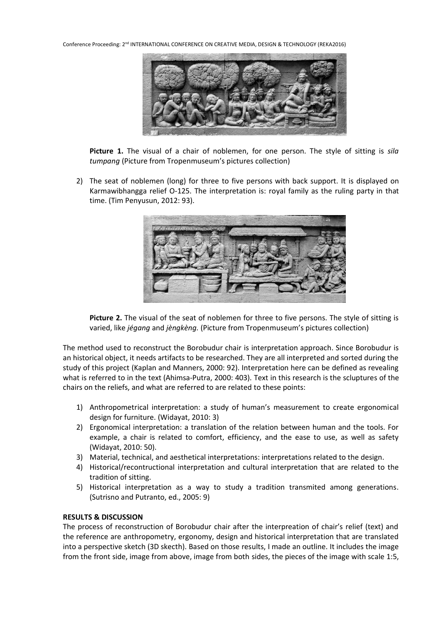Conference Proceeding: 2<sup>nd</sup> INTERNATIONAL CONFERENCE ON CREATIVE MEDIA, DESIGN & TECHNOLOGY (REKA2016)



**Picture 1.** The visual of a chair of noblemen, for one person. The style of sitting is *sila tumpang* (Picture from Tropenmuseum's pictures collection)

2) The seat of noblemen (long) for three to five persons with back support. It is displayed on Karmawibhangga relief O-125. The interpretation is: royal family as the ruling party in that time. (Tim Penyusun, 2012: 93).



**Picture 2.** The visual of the seat of noblemen for three to five persons. The style of sitting is varied, like *jégang* and *jèngkèng.* (Picture from Tropenmuseum's pictures collection)

The method used to reconstruct the Borobudur chair is interpretation approach. Since Borobudur is an historical object, it needs artifacts to be researched. They are all interpreted and sorted during the study of this project (Kaplan and Manners, 2000: 92). Interpretation here can be defined as revealing what is referred to in the text (Ahimsa-Putra, 2000: 403). Text in this research is the scluptures of the chairs on the reliefs, and what are referred to are related to these points:

- 1) Anthropometrical interpretation: a study of human's measurement to create ergonomical design for furniture. (Widayat, 2010: 3)
- 2) Ergonomical interpretation: a translation of the relation between human and the tools. For example, a chair is related to comfort, efficiency, and the ease to use, as well as safety (Widayat, 2010: 50).
- 3) Material, technical, and aesthetical interpretations: interpretations related to the design.
- 4) Historical/recontructional interpretation and cultural interpretation that are related to the tradition of sitting.
- 5) Historical interpretation as a way to study a tradition transmited among generations. (Sutrisno and Putranto, ed., 2005: 9)

# **RESULTS & DISCUSSION**

The process of reconstruction of Borobudur chair after the interpreation of chair's relief (text) and the reference are anthropometry, ergonomy, design and historical interpretation that are translated into a perspective sketch (3D skecth). Based on those results, I made an outline. It includes the image from the front side, image from above, image from both sides, the pieces of the image with scale 1:5,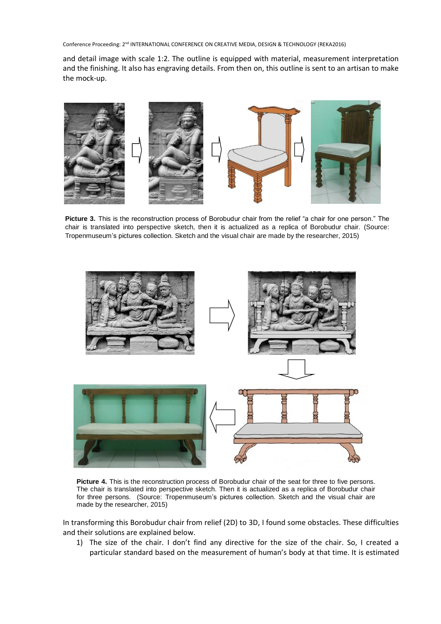Conference Proceeding: 2nd INTERNATIONAL CONFERENCE ON CREATIVE MEDIA, DESIGN & TECHNOLOGY (REKA2016)

and detail image with scale 1:2. The outline is equipped with material, measurement interpretation and the finishing. It also has engraving details. From then on, this outline is sent to an artisan to make the mock-up.



**Picture 3.** This is the reconstruction process of Borobudur chair from the relief "a chair for one person." The chair is translated into perspective sketch, then it is actualized as a replica of Borobudur chair. (Source: Tropenmuseum's pictures collection. Sketch and the visual chair are made by the researcher, 2015)



**Picture 4.** This is the reconstruction process of Borobudur chair of the seat for three to five persons. The chair is translated into perspective sketch. Then it is actualized as a replica of Borobudur chair for three persons. (Source: Tropenmuseum's pictures collection. Sketch and the visual chair are made by the researcher, 2015)

In transforming this Borobudur chair from relief (2D) to 3D, I found some obstacles. These difficulties and their solutions are explained below.

1) The size of the chair. I don't find any directive for the size of the chair. So, I created a particular standard based on the measurement of human's body at that time. It is estimated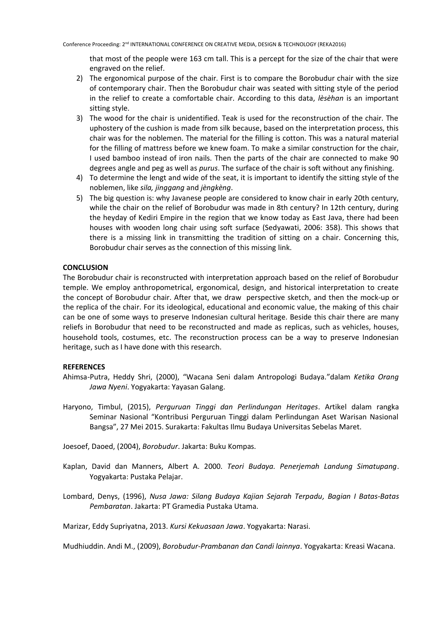that most of the people were 163 cm tall. This is a percept for the size of the chair that were engraved on the relief.

- 2) The ergonomical purpose of the chair. First is to compare the Borobudur chair with the size of contemporary chair. Then the Borobudur chair was seated with sitting style of the period in the relief to create a comfortable chair. According to this data, *lèsèhan* is an important sitting style.
- 3) The wood for the chair is unidentified. Teak is used for the reconstruction of the chair. The uphostery of the cushion is made from silk because, based on the interpretation process, this chair was for the noblemen. The material for the filling is cotton. This was a natural material for the filling of mattress before we knew foam. To make a similar construction for the chair, I used bamboo instead of iron nails. Then the parts of the chair are connected to make 90 degrees angle and peg as well as *purus*. The surface of the chair is soft without any finishing.
- 4) To determine the lengt and wide of the seat, it is important to identify the sitting style of the noblemen, like *sila, jinggang* and *jèngkèng*.
- 5) The big question is: why Javanese people are considered to know chair in early 20th century, while the chair on the relief of Borobudur was made in 8th century? In 12th century, during the heyday of Kediri Empire in the region that we know today as East Java, there had been houses with wooden long chair using soft surface (Sedyawati, 2006: 358). This shows that there is a missing link in transmitting the tradition of sitting on a chair. Concerning this, Borobudur chair serves as the connection of this missing link.

## **CONCLUSION**

The Borobudur chair is reconstructed with interpretation approach based on the relief of Borobudur temple. We employ anthropometrical, ergonomical, design, and historical interpretation to create the concept of Borobudur chair. After that, we draw perspective sketch, and then the mock-up or the replica of the chair. For its ideological, educational and economic value, the making of this chair can be one of some ways to preserve Indonesian cultural heritage. Beside this chair there are many reliefs in Borobudur that need to be reconstructed and made as replicas, such as vehicles, houses, household tools, costumes, etc. The reconstruction process can be a way to preserve Indonesian heritage, such as I have done with this research.

#### **REFERENCES**

- Ahimsa-Putra, Heddy Shri, (2000), "Wacana Seni dalam Antropologi Budaya."dalam *Ketika Orang Jawa Nyeni*. Yogyakarta: Yayasan Galang.
- Haryono, Timbul, (2015), *Perguruan Tinggi dan Perlindungan Heritages*. Artikel dalam rangka Seminar Nasional "Kontribusi Perguruan Tinggi dalam Perlindungan Aset Warisan Nasional Bangsa", 27 Mei 2015. Surakarta: Fakultas Ilmu Budaya Universitas Sebelas Maret.

Joesoef, Daoed, (2004), *Borobudur*. Jakarta: Buku Kompas.

- Kaplan, David dan Manners, Albert A. 2000. *Teori Budaya. Penerjemah Landung Simatupang*. Yogyakarta: Pustaka Pelajar.
- Lombard, Denys, (1996), *Nusa Jawa: Silang Budaya Kajian Sejarah Terpadu, Bagian I Batas-Batas Pembaratan*. Jakarta: PT Gramedia Pustaka Utama.

Marizar, Eddy Supriyatna, 2013. *Kursi Kekuasaan Jawa*. Yogyakarta: Narasi.

Mudhiuddin. Andi M., (2009), *Borobudur-Prambanan dan Candi lainnya*. Yogyakarta: Kreasi Wacana.